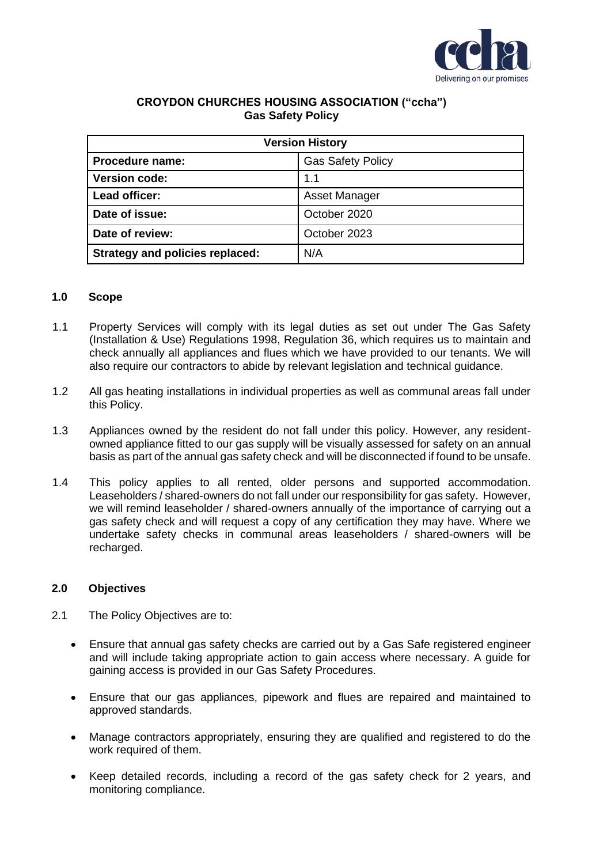

## **CROYDON CHURCHES HOUSING ASSOCIATION ("ccha") Gas Safety Policy**

| <b>Version History</b>                 |                          |
|----------------------------------------|--------------------------|
| Procedure name:                        | <b>Gas Safety Policy</b> |
| <b>Version code:</b>                   | 1.1                      |
| Lead officer:                          | <b>Asset Manager</b>     |
| Date of issue:                         | October 2020             |
| Date of review:                        | October 2023             |
| <b>Strategy and policies replaced:</b> | N/A                      |

## **1.0 Scope**

- 1.1 Property Services will comply with its legal duties as set out under The Gas Safety (Installation & Use) Regulations 1998, Regulation 36, which requires us to maintain and check annually all appliances and flues which we have provided to our tenants. We will also require our contractors to abide by relevant legislation and technical guidance.
- 1.2 All gas heating installations in individual properties as well as communal areas fall under this Policy.
- 1.3 Appliances owned by the resident do not fall under this policy. However, any residentowned appliance fitted to our gas supply will be visually assessed for safety on an annual basis as part of the annual gas safety check and will be disconnected if found to be unsafe.
- 1.4 This policy applies to all rented, older persons and supported accommodation. Leaseholders / shared-owners do not fall under our responsibility for gas safety. However, we will remind leaseholder / shared-owners annually of the importance of carrying out a gas safety check and will request a copy of any certification they may have. Where we undertake safety checks in communal areas leaseholders / shared-owners will be recharged.

## **2.0 Objectives**

- 2.1 The Policy Objectives are to:
	- Ensure that annual gas safety checks are carried out by a Gas Safe registered engineer and will include taking appropriate action to gain access where necessary. A guide for gaining access is provided in our Gas Safety Procedures.
	- Ensure that our gas appliances, pipework and flues are repaired and maintained to approved standards.
	- Manage contractors appropriately, ensuring they are qualified and registered to do the work required of them.
	- Keep detailed records, including a record of the gas safety check for 2 years, and monitoring compliance.